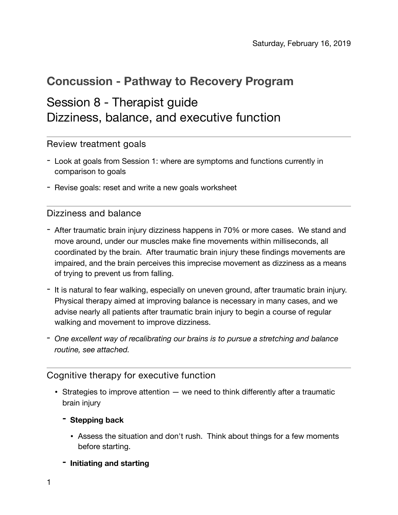## **Concussion - Pathway to Recovery Program**

# Session 8 - Therapist guide Dizziness, balance, and executive function

Review treatment goals

- Look at goals from Session 1: where are symptoms and functions currently in comparison to goals
- Revise goals: reset and write a new goals worksheet

## Dizziness and balance

- After traumatic brain injury dizziness happens in 70% or more cases. We stand and move around, under our muscles make fine movements within milliseconds, all coordinated by the brain. After traumatic brain injury these findings movements are impaired, and the brain perceives this imprecise movement as dizziness as a means of trying to prevent us from falling.
- It is natural to fear walking, especially on uneven ground, after traumatic brain injury. Physical therapy aimed at improving balance is necessary in many cases, and we advise nearly all patients after traumatic brain injury to begin a course of regular walking and movement to improve dizziness.
- *- One excellent way of recalibrating our brains is to pursue a stretching and balance routine, see attached.*

## Cognitive therapy for executive function

- Strategies to improve attention  $-$  we need to think differently after a traumatic brain injury
	- **- Stepping back** 
		- Assess the situation and don't rush. Think about things for a few moments before starting.
	- **- Initiating and starting**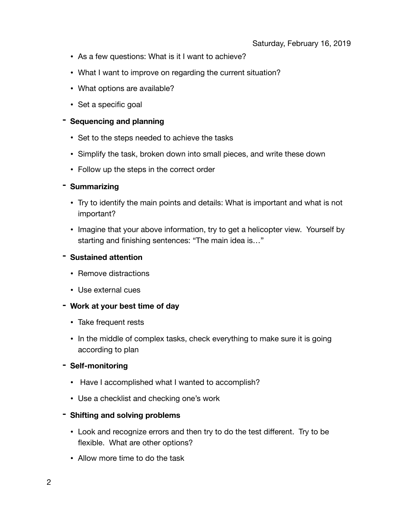- As a few questions: What is it I want to achieve?
- What I want to improve on regarding the current situation?
- What options are available?
- Set a specific goal

#### **- Sequencing and planning**

- Set to the steps needed to achieve the tasks
- Simplify the task, broken down into small pieces, and write these down
- Follow up the steps in the correct order

#### **- Summarizing**

- Try to identify the main points and details: What is important and what is not important?
- Imagine that your above information, try to get a helicopter view. Yourself by starting and finishing sentences: "The main idea is…"

#### **- Sustained attention**

- Remove distractions
- Use external cues
- **- Work at your best time of day** 
	- Take frequent rests
	- In the middle of complex tasks, check everything to make sure it is going according to plan

#### **- Self-monitoring**

- Have I accomplished what I wanted to accomplish?
- Use a checklist and checking one's work
- **- Shifting and solving problems** 
	- Look and recognize errors and then try to do the test different. Try to be flexible. What are other options?
	- Allow more time to do the task